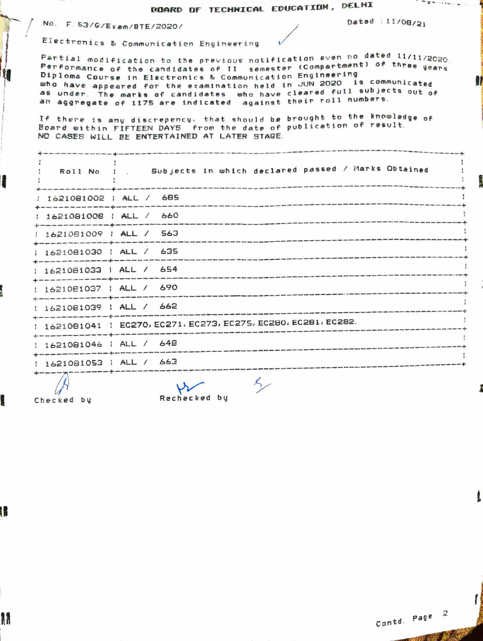## **ROARD OF TECHNICAL EDUCATION, DELHI**

No. F. 53/G/Exam/BTE/2020/

t

Dated :  $11/08/21$ 

' = a =

Electronics & Communication Engineering

Pertial modification to the previous notification even no dated 11/11/2020. Performance of the candidates of II semester (Compartment) of three years Diploma Course in Electronics & Communication Engineering who have appeared for the examination held in JUN 2020 is communicated as under. The marks of candidates who have cleared full subjects out of an aggregate of 1175 are indicated against their roll numbers.

If there is any discrepency, that should be brought to the knowledge of Board within FIFTEEN DAYS from the date of publication of result. NO CASES WILL BE ENTERTAINED AT LATER STAGE.

|                              | : Roll No : . Subjects in which declared passed / Marks Obtained |
|------------------------------|------------------------------------------------------------------|
| : 1621081002 : ALL / 685     |                                                                  |
| $1621081008$ $14L / 660$     |                                                                  |
| 1621081009   ALL / 563       |                                                                  |
| : 1621081030 : ALL / 635     |                                                                  |
| : 1621081033   ALL / 654     |                                                                  |
| : 1621081037 : ALL / 690     |                                                                  |
| 1621081039   ALL / 662       |                                                                  |
|                              | 1 1621081041 1 EC270, EC271, EC273, EC275, EC280, EC281, EC282.  |
| 1621081046   ALL / 648       |                                                                  |
| $: 1621081053$ $: 141 / 663$ |                                                                  |
|                              | $\overline{a}$                                                   |

 $\mathscr{L}$ Checked by

ł

H

Rechecked by

Contd. Page 2